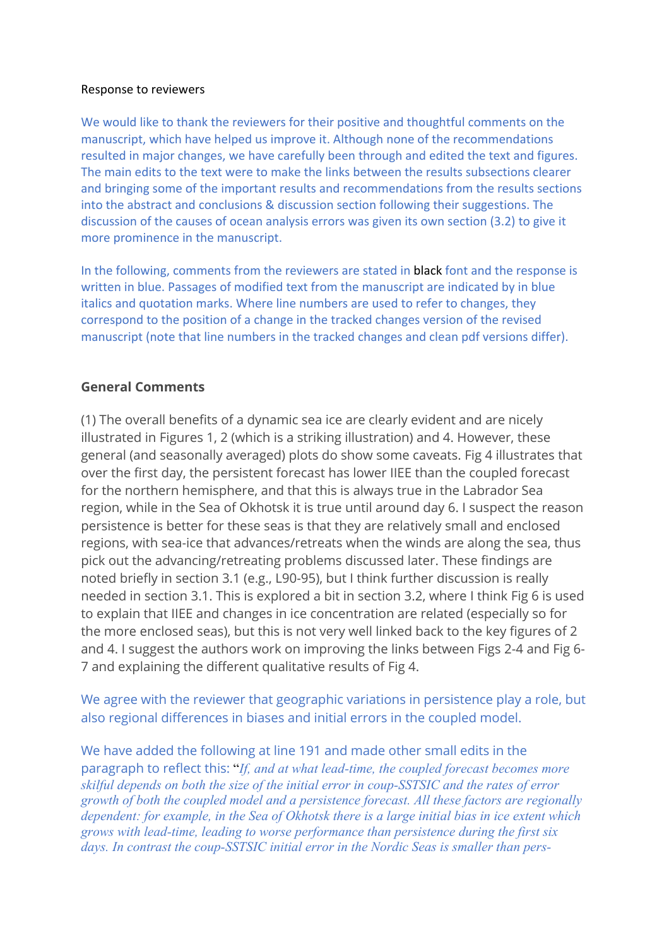#### Response to reviewers

We would like to thank the reviewers for their positive and thoughtful comments on the manuscript, which have helped us improve it. Although none of the recommendations resulted in major changes, we have carefully been through and edited the text and figures. The main edits to the text were to make the links between the results subsections clearer and bringing some of the important results and recommendations from the results sections into the abstract and conclusions & discussion section following their suggestions. The discussion of the causes of ocean analysis errors was given its own section (3.2) to give it more prominence in the manuscript.

In the following, comments from the reviewers are stated in black font and the response is written in blue. Passages of modified text from the manuscript are indicated by in blue italics and quotation marks. Where line numbers are used to refer to changes, they correspond to the position of a change in the tracked changes version of the revised manuscript (note that line numbers in the tracked changes and clean pdf versions differ).

### **General Comments**

(1) The overall benefits of a dynamic sea ice are clearly evident and are nicely illustrated in Figures 1, 2 (which is a striking illustration) and 4. However, these general (and seasonally averaged) plots do show some caveats. Fig 4 illustrates that over the first day, the persistent forecast has lower IIEE than the coupled forecast for the northern hemisphere, and that this is always true in the Labrador Sea region, while in the Sea of Okhotsk it is true until around day 6. I suspect the reason persistence is better for these seas is that they are relatively small and enclosed regions, with sea-ice that advances/retreats when the winds are along the sea, thus pick out the advancing/retreating problems discussed later. These findings are noted briefly in section 3.1 (e.g., L90-95), but I think further discussion is really needed in section 3.1. This is explored a bit in section 3.2, where I think Fig 6 is used to explain that IIEE and changes in ice concentration are related (especially so for the more enclosed seas), but this is not very well linked back to the key figures of 2 and 4. I suggest the authors work on improving the links between Figs 2-4 and Fig 6- 7 and explaining the different qualitative results of Fig 4.

We agree with the reviewer that geographic variations in persistence play a role, but also regional differences in biases and initial errors in the coupled model.

We have added the following at line 191 and made other small edits in the paragraph to reflect this: "*If, and at what lead-time, the coupled forecast becomes more skilful depends on both the size of the initial error in coup-SSTSIC and the rates of error growth of both the coupled model and a persistence forecast. All these factors are regionally dependent: for example, in the Sea of Okhotsk there is a large initial bias in ice extent which grows with lead-time, leading to worse performance than persistence during the first six days. In contrast the coup-SSTSIC initial error in the Nordic Seas is smaller than pers-*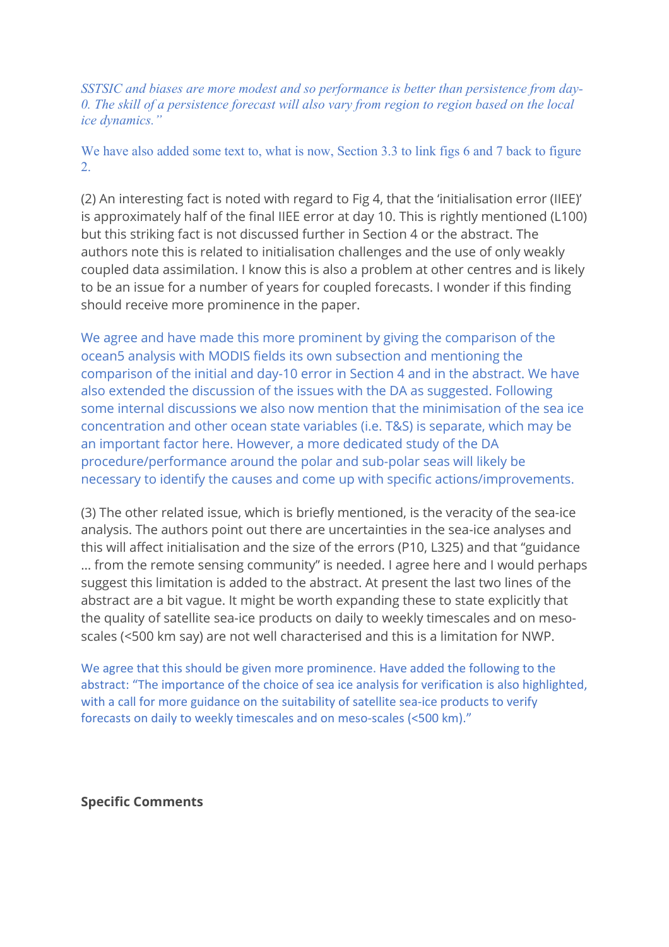*SSTSIC and biases are more modest and so performance is better than persistence from day-0. The skill of a persistence forecast will also vary from region to region based on the local ice dynamics."*

We have also added some text to, what is now, Section 3.3 to link figs 6 and 7 back to figure 2.

(2) An interesting fact is noted with regard to Fig 4, that the 'initialisation error (IIEE)' is approximately half of the final IIEE error at day 10. This is rightly mentioned (L100) but this striking fact is not discussed further in Section 4 or the abstract. The authors note this is related to initialisation challenges and the use of only weakly coupled data assimilation. I know this is also a problem at other centres and is likely to be an issue for a number of years for coupled forecasts. I wonder if this finding should receive more prominence in the paper.

We agree and have made this more prominent by giving the comparison of the ocean5 analysis with MODIS fields its own subsection and mentioning the comparison of the initial and day-10 error in Section 4 and in the abstract. We have also extended the discussion of the issues with the DA as suggested. Following some internal discussions we also now mention that the minimisation of the sea ice concentration and other ocean state variables (i.e. T&S) is separate, which may be an important factor here. However, a more dedicated study of the DA procedure/performance around the polar and sub-polar seas will likely be necessary to identify the causes and come up with specific actions/improvements.

(3) The other related issue, which is briefly mentioned, is the veracity of the sea-ice analysis. The authors point out there are uncertainties in the sea-ice analyses and this will affect initialisation and the size of the errors (P10, L325) and that "guidance … from the remote sensing community" is needed. I agree here and I would perhaps suggest this limitation is added to the abstract. At present the last two lines of the abstract are a bit vague. It might be worth expanding these to state explicitly that the quality of satellite sea-ice products on daily to weekly timescales and on mesoscales (<500 km say) are not well characterised and this is a limitation for NWP.

We agree that this should be given more prominence. Have added the following to the abstract: "The importance of the choice of sea ice analysis for verification is also highlighted, with a call for more guidance on the suitability of satellite sea-ice products to verify forecasts on daily to weekly timescales and on meso-scales (<500 km)."

**Specific Comments**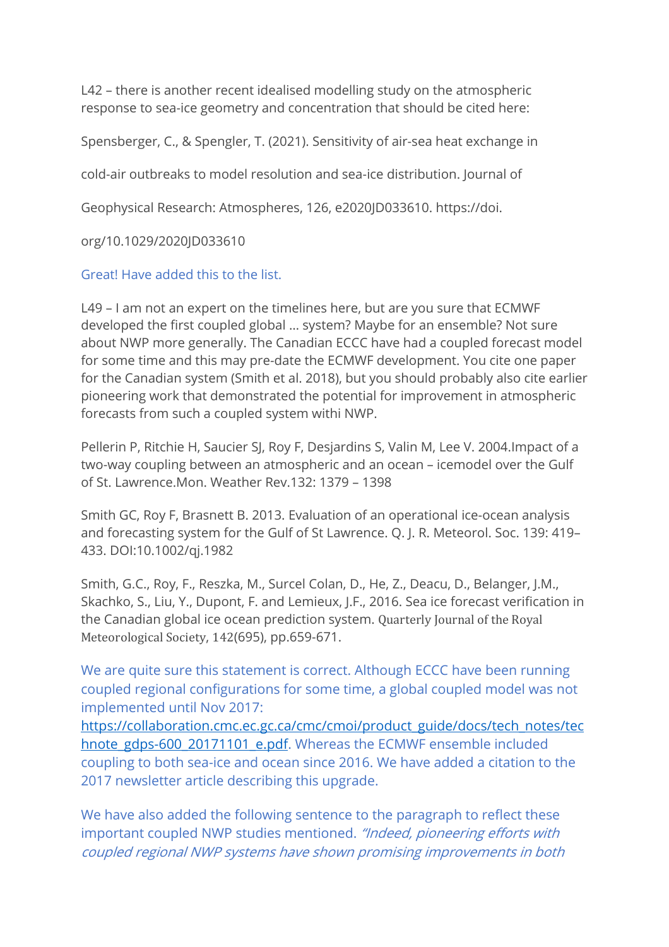L42 – there is another recent idealised modelling study on the atmospheric response to sea-ice geometry and concentration that should be cited here:

Spensberger, C., & Spengler, T. (2021). Sensitivity of air-sea heat exchange in

cold-air outbreaks to model resolution and sea-ice distribution. Journal of

Geophysical Research: Atmospheres, 126, e2020JD033610. https://doi.

org/10.1029/2020JD033610

Great! Have added this to the list.

L49 – I am not an expert on the timelines here, but are you sure that ECMWF developed the first coupled global … system? Maybe for an ensemble? Not sure about NWP more generally. The Canadian ECCC have had a coupled forecast model for some time and this may pre-date the ECMWF development. You cite one paper for the Canadian system (Smith et al. 2018), but you should probably also cite earlier pioneering work that demonstrated the potential for improvement in atmospheric forecasts from such a coupled system withi NWP.

Pellerin P, Ritchie H, Saucier SJ, Roy F, Desjardins S, Valin M, Lee V. 2004.Impact of a two-way coupling between an atmospheric and an ocean – icemodel over the Gulf of St. Lawrence.Mon. Weather Rev.132: 1379 – 1398

Smith GC, Roy F, Brasnett B. 2013. Evaluation of an operational ice-ocean analysis and forecasting system for the Gulf of St Lawrence. Q. J. R. Meteorol. Soc. 139: 419– 433. DOI:10.1002/qj.1982

Smith, G.C., Roy, F., Reszka, M., Surcel Colan, D., He, Z., Deacu, D., Belanger, J.M., Skachko, S., Liu, Y., Dupont, F. and Lemieux, J.F., 2016. Sea ice forecast verification in the Canadian global ice ocean prediction system. Quarterly Journal of the Royal Meteorological Society, 142(695), pp.659-671.

We are quite sure this statement is correct. Although ECCC have been running coupled regional configurations for some time, a global coupled model was not implemented until Nov 2017:

https://collaboration.cmc.ec.gc.ca/cmc/cmoi/product\_guide/docs/tech\_notes/tec hnote\_gdps-600\_20171101\_e.pdf. Whereas the ECMWF ensemble included coupling to both sea-ice and ocean since 2016. We have added a citation to the 2017 newsletter article describing this upgrade.

We have also added the following sentence to the paragraph to reflect these important coupled NWP studies mentioned. "Indeed, pioneering efforts with coupled regional NWP systems have shown promising improvements in both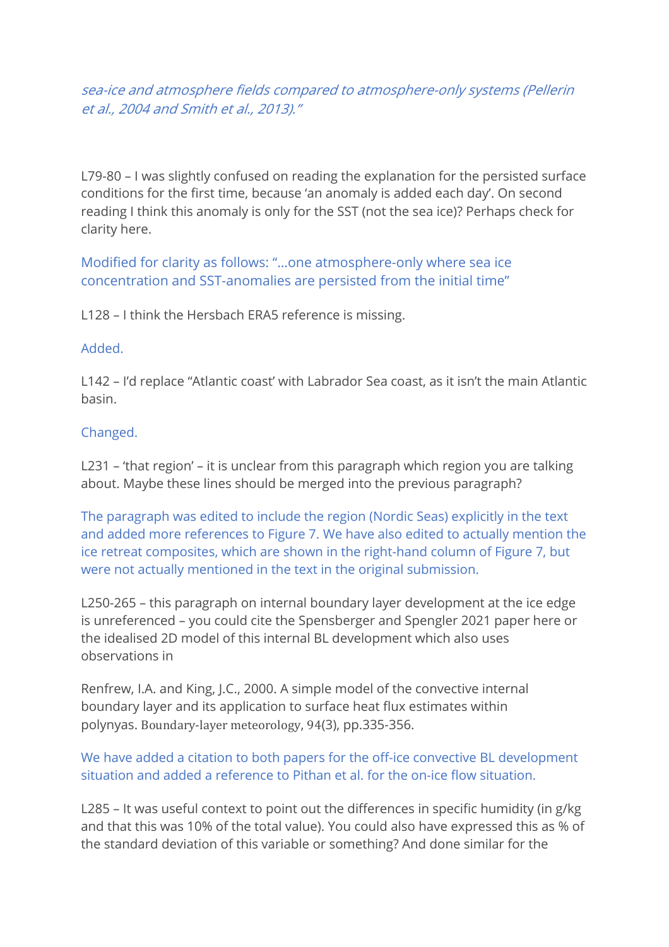sea-ice and atmosphere fields compared to atmosphere-only systems (Pellerin et al., 2004 and Smith et al., 2013)."

L79-80 – I was slightly confused on reading the explanation for the persisted surface conditions for the first time, because 'an anomaly is added each day'. On second reading I think this anomaly is only for the SST (not the sea ice)? Perhaps check for clarity here.

Modified for clarity as follows: "…one atmosphere-only where sea ice concentration and SST-anomalies are persisted from the initial time"

L128 – I think the Hersbach ERA5 reference is missing.

### Added.

L142 – I'd replace "Atlantic coast' with Labrador Sea coast, as it isn't the main Atlantic basin.

## Changed.

L231 – 'that region' – it is unclear from this paragraph which region you are talking about. Maybe these lines should be merged into the previous paragraph?

The paragraph was edited to include the region (Nordic Seas) explicitly in the text and added more references to Figure 7. We have also edited to actually mention the ice retreat composites, which are shown in the right-hand column of Figure 7, but were not actually mentioned in the text in the original submission.

L250-265 – this paragraph on internal boundary layer development at the ice edge is unreferenced – you could cite the Spensberger and Spengler 2021 paper here or the idealised 2D model of this internal BL development which also uses observations in

Renfrew, I.A. and King, J.C., 2000. A simple model of the convective internal boundary layer and its application to surface heat flux estimates within polynyas. Boundary-layer meteorology, 94(3), pp.335-356.

## We have added a citation to both papers for the off-ice convective BL development situation and added a reference to Pithan et al. for the on-ice flow situation.

L285 – It was useful context to point out the differences in specific humidity (in g/kg and that this was 10% of the total value). You could also have expressed this as % of the standard deviation of this variable or something? And done similar for the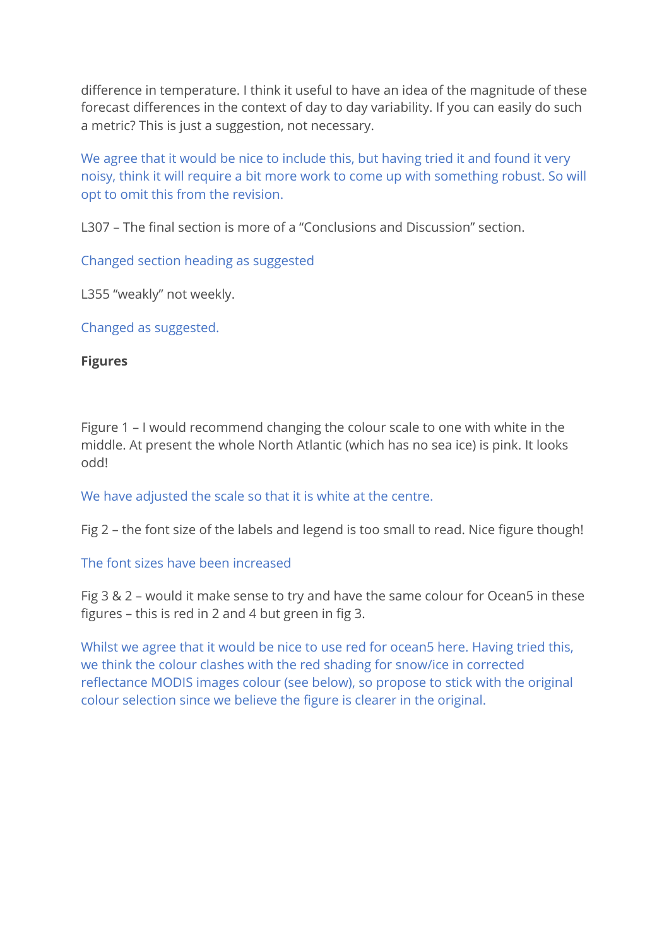difference in temperature. I think it useful to have an idea of the magnitude of these forecast differences in the context of day to day variability. If you can easily do such a metric? This is just a suggestion, not necessary.

We agree that it would be nice to include this, but having tried it and found it very noisy, think it will require a bit more work to come up with something robust. So will opt to omit this from the revision.

L307 – The final section is more of a "Conclusions and Discussion" section.

Changed section heading as suggested

L355 "weakly" not weekly.

Changed as suggested.

## **Figures**

Figure 1 – I would recommend changing the colour scale to one with white in the middle. At present the whole North Atlantic (which has no sea ice) is pink. It looks odd!

We have adjusted the scale so that it is white at the centre.

Fig 2 – the font size of the labels and legend is too small to read. Nice figure though!

## The font sizes have been increased

Fig 3 & 2 – would it make sense to try and have the same colour for Ocean5 in these figures – this is red in 2 and 4 but green in fig 3.

Whilst we agree that it would be nice to use red for ocean5 here. Having tried this, we think the colour clashes with the red shading for snow/ice in corrected reflectance MODIS images colour (see below), so propose to stick with the original colour selection since we believe the figure is clearer in the original.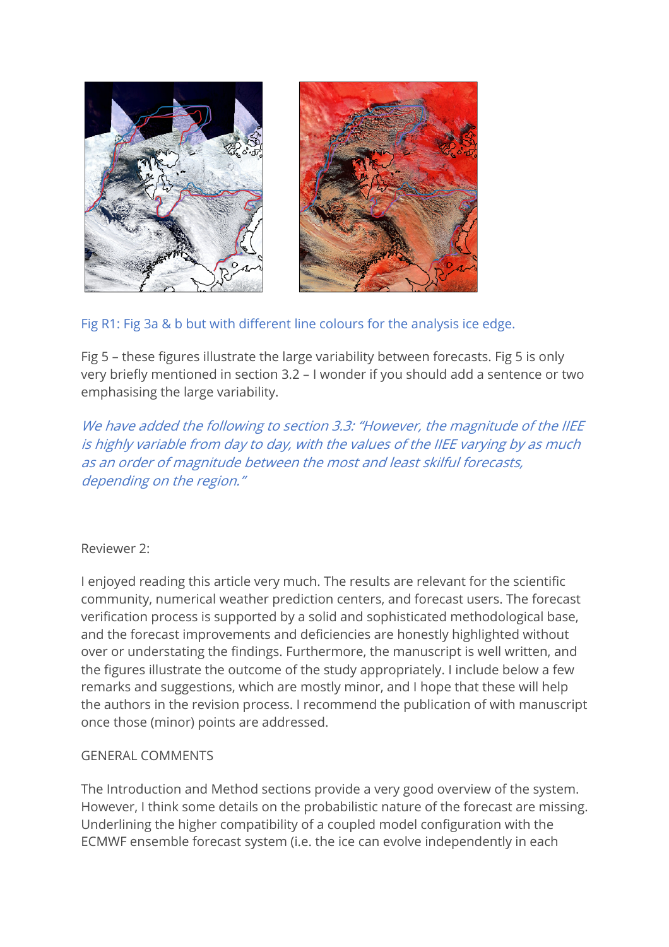

# Fig R1: Fig 3a & b but with different line colours for the analysis ice edge.

Fig 5 – these figures illustrate the large variability between forecasts. Fig 5 is only very briefly mentioned in section 3.2 – I wonder if you should add a sentence or two emphasising the large variability.

We have added the following to section 3.3: "However, the magnitude of the IIEE is highly variable from day to day, with the values of the IIEE varying by as much as an order of magnitude between the most and least skilful forecasts, depending on the region."

## Reviewer 2:

I enjoyed reading this article very much. The results are relevant for the scientific community, numerical weather prediction centers, and forecast users. The forecast verification process is supported by a solid and sophisticated methodological base, and the forecast improvements and deficiencies are honestly highlighted without over or understating the findings. Furthermore, the manuscript is well written, and the figures illustrate the outcome of the study appropriately. I include below a few remarks and suggestions, which are mostly minor, and I hope that these will help the authors in the revision process. I recommend the publication of with manuscript once those (minor) points are addressed.

## GENERAL COMMENTS

The Introduction and Method sections provide a very good overview of the system. However, I think some details on the probabilistic nature of the forecast are missing. Underlining the higher compatibility of a coupled model configuration with the ECMWF ensemble forecast system (i.e. the ice can evolve independently in each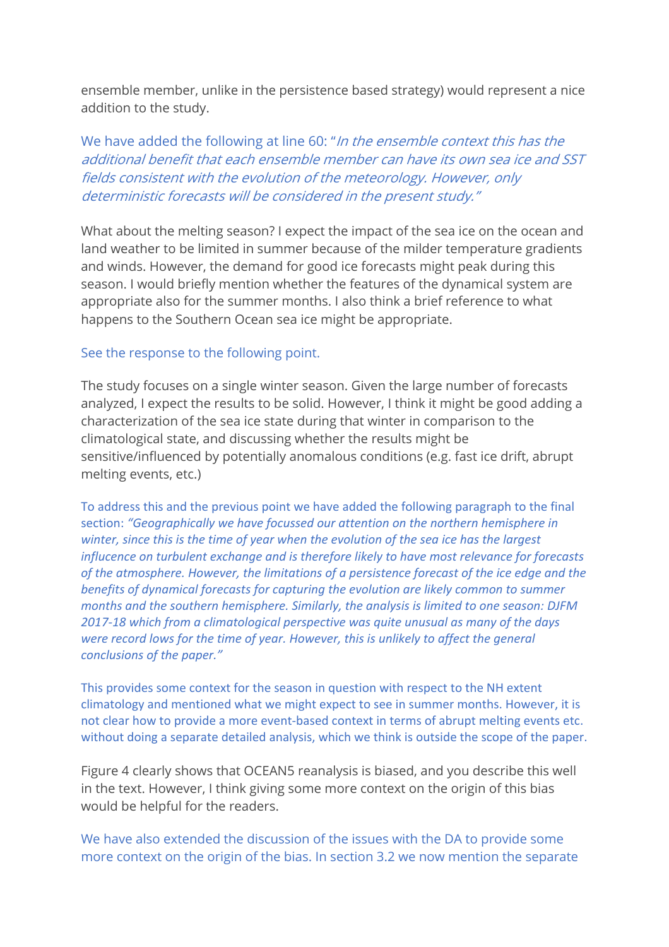ensemble member, unlike in the persistence based strategy) would represent a nice addition to the study.

We have added the following at line 60: "In the ensemble context this has the additional benefit that each ensemble member can have its own sea ice and SST fields consistent with the evolution of the meteorology. However, only deterministic forecasts will be considered in the present study."

What about the melting season? I expect the impact of the sea ice on the ocean and land weather to be limited in summer because of the milder temperature gradients and winds. However, the demand for good ice forecasts might peak during this season. I would briefly mention whether the features of the dynamical system are appropriate also for the summer months. I also think a brief reference to what happens to the Southern Ocean sea ice might be appropriate.

### See the response to the following point.

The study focuses on a single winter season. Given the large number of forecasts analyzed, I expect the results to be solid. However, I think it might be good adding a characterization of the sea ice state during that winter in comparison to the climatological state, and discussing whether the results might be sensitive/influenced by potentially anomalous conditions (e.g. fast ice drift, abrupt melting events, etc.)

To address this and the previous point we have added the following paragraph to the final section: *"Geographically we have focussed our attention on the northern hemisphere in winter, since this is the time of year when the evolution of the sea ice has the largest influcence on turbulent exchange and is therefore likely to have most relevance for forecasts of the atmosphere. However, the limitations of a persistence forecast of the ice edge and the benefits of dynamical forecasts for capturing the evolution are likely common to summer months and the southern hemisphere. Similarly, the analysis is limited to one season: DJFM 2017-18 which from a climatological perspective was quite unusual as many of the days were record lows for the time of year. However, this is unlikely to affect the general conclusions of the paper."*

This provides some context for the season in question with respect to the NH extent climatology and mentioned what we might expect to see in summer months. However, it is not clear how to provide a more event-based context in terms of abrupt melting events etc. without doing a separate detailed analysis, which we think is outside the scope of the paper.

Figure 4 clearly shows that OCEAN5 reanalysis is biased, and you describe this well in the text. However, I think giving some more context on the origin of this bias would be helpful for the readers.

We have also extended the discussion of the issues with the DA to provide some more context on the origin of the bias. In section 3.2 we now mention the separate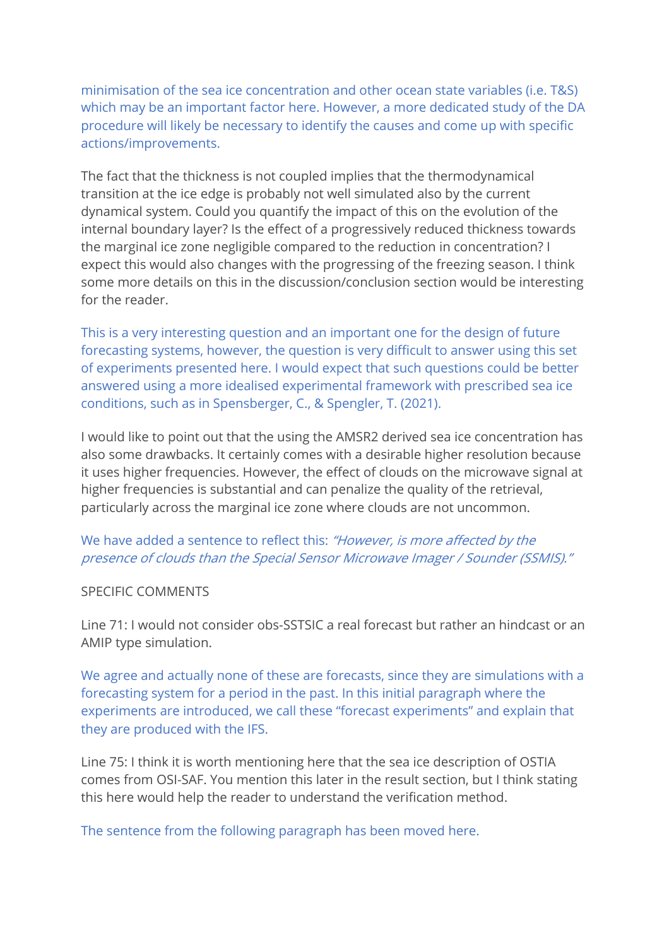minimisation of the sea ice concentration and other ocean state variables (i.e. T&S) which may be an important factor here. However, a more dedicated study of the DA procedure will likely be necessary to identify the causes and come up with specific actions/improvements.

The fact that the thickness is not coupled implies that the thermodynamical transition at the ice edge is probably not well simulated also by the current dynamical system. Could you quantify the impact of this on the evolution of the internal boundary layer? Is the effect of a progressively reduced thickness towards the marginal ice zone negligible compared to the reduction in concentration? I expect this would also changes with the progressing of the freezing season. I think some more details on this in the discussion/conclusion section would be interesting for the reader.

This is a very interesting question and an important one for the design of future forecasting systems, however, the question is very difficult to answer using this set of experiments presented here. I would expect that such questions could be better answered using a more idealised experimental framework with prescribed sea ice conditions, such as in Spensberger, C., & Spengler, T. (2021).

I would like to point out that the using the AMSR2 derived sea ice concentration has also some drawbacks. It certainly comes with a desirable higher resolution because it uses higher frequencies. However, the effect of clouds on the microwave signal at higher frequencies is substantial and can penalize the quality of the retrieval, particularly across the marginal ice zone where clouds are not uncommon.

We have added a sentence to reflect this: "However, is more affected by the presence of clouds than the Special Sensor Microwave Imager / Sounder (SSMIS)."

### SPECIFIC COMMENTS

Line 71: I would not consider obs-SSTSIC a real forecast but rather an hindcast or an AMIP type simulation.

We agree and actually none of these are forecasts, since they are simulations with a forecasting system for a period in the past. In this initial paragraph where the experiments are introduced, we call these "forecast experiments" and explain that they are produced with the IFS.

Line 75: I think it is worth mentioning here that the sea ice description of OSTIA comes from OSI-SAF. You mention this later in the result section, but I think stating this here would help the reader to understand the verification method.

The sentence from the following paragraph has been moved here.